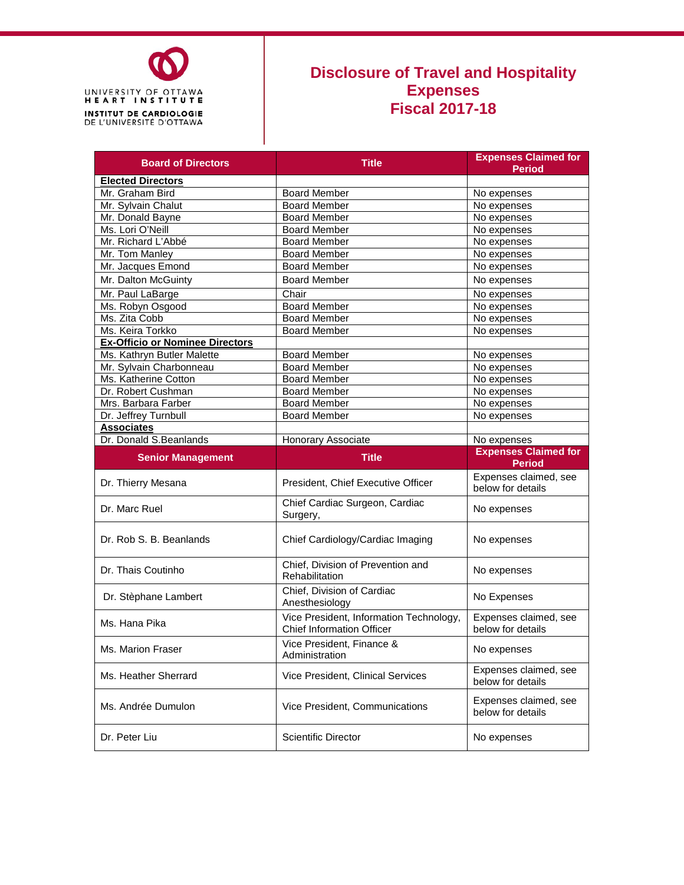

#### **Disclosure of Travel and Hospitality Expenses Fiscal 2017-18**

| <b>Board of Directors</b>              | <b>Title</b>                                                                | <b>Expenses Claimed for</b><br><b>Period</b>                |  |
|----------------------------------------|-----------------------------------------------------------------------------|-------------------------------------------------------------|--|
| <b>Elected Directors</b>               |                                                                             |                                                             |  |
| Mr. Graham Bird                        | <b>Board Member</b>                                                         | No expenses                                                 |  |
| Mr. Sylvain Chalut                     | <b>Board Member</b>                                                         | No expenses                                                 |  |
| Mr. Donald Bayne                       | <b>Board Member</b>                                                         | No expenses                                                 |  |
| Ms. Lori O'Neill                       | <b>Board Member</b>                                                         | No expenses                                                 |  |
| Mr. Richard L'Abbé                     | <b>Board Member</b>                                                         | No expenses                                                 |  |
| Mr. Tom Manley                         | <b>Board Member</b>                                                         | No expenses                                                 |  |
| Mr. Jacques Emond                      | <b>Board Member</b>                                                         | No expenses                                                 |  |
| Mr. Dalton McGuinty                    | <b>Board Member</b>                                                         | No expenses                                                 |  |
| Mr. Paul LaBarge                       | Chair                                                                       | No expenses                                                 |  |
| Ms. Robyn Osgood                       | <b>Board Member</b>                                                         | No expenses                                                 |  |
| Ms. Zita Cobb                          | <b>Board Member</b>                                                         | No expenses                                                 |  |
| Ms. Keira Torkko                       | <b>Board Member</b>                                                         | No expenses                                                 |  |
| <b>Ex-Officio or Nominee Directors</b> |                                                                             |                                                             |  |
| Ms. Kathryn Butler Malette             | <b>Board Member</b>                                                         | No expenses                                                 |  |
| Mr. Sylvain Charbonneau                | <b>Board Member</b>                                                         | No expenses                                                 |  |
| Ms. Katherine Cotton                   | <b>Board Member</b>                                                         | No expenses                                                 |  |
| Dr. Robert Cushman                     | <b>Board Member</b>                                                         | No expenses                                                 |  |
| Mrs. Barbara Farber                    | <b>Board Member</b>                                                         | No expenses                                                 |  |
| Dr. Jeffrey Turnbull                   | <b>Board Member</b>                                                         | No expenses                                                 |  |
| <b>Associates</b>                      |                                                                             |                                                             |  |
| Dr. Donald S.Beanlands                 | Honorary Associate                                                          | No expenses                                                 |  |
|                                        |                                                                             |                                                             |  |
| <b>Senior Management</b>               | <b>Title</b>                                                                | <b>Expenses Claimed for</b>                                 |  |
| Dr. Thierry Mesana                     | President, Chief Executive Officer                                          | <b>Period</b><br>Expenses claimed, see<br>below for details |  |
| Dr. Marc Ruel                          | Chief Cardiac Surgeon, Cardiac<br>Surgery,                                  | No expenses                                                 |  |
| Dr. Rob S. B. Beanlands                | Chief Cardiology/Cardiac Imaging                                            | No expenses                                                 |  |
| Dr. Thais Coutinho                     | Chief, Division of Prevention and<br>Rehabilitation                         | No expenses                                                 |  |
| Dr. Stèphane Lambert                   | Chief, Division of Cardiac<br>Anesthesiology                                | No Expenses                                                 |  |
| Ms. Hana Pika                          | Vice President, Information Technology,<br><b>Chief Information Officer</b> | Expenses claimed, see<br>below for details                  |  |
| Ms. Marion Fraser                      | Vice President, Finance &<br>Administration                                 | No expenses                                                 |  |
| Ms. Heather Sherrard                   | Vice President, Clinical Services                                           | Expenses claimed, see<br>below for details                  |  |
| Ms. Andrée Dumulon                     | Vice President, Communications                                              | Expenses claimed, see<br>below for details                  |  |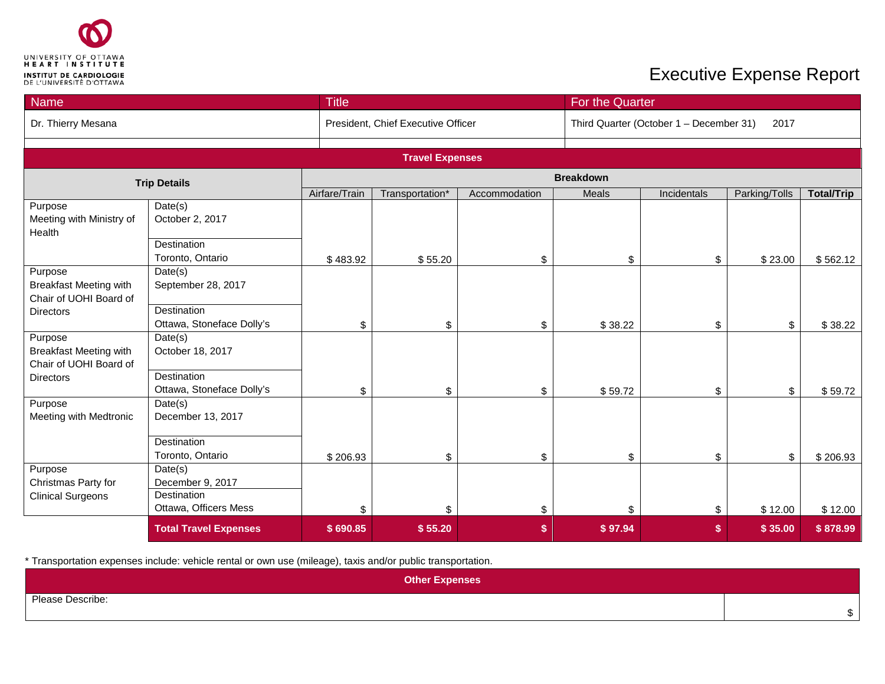

| <b>Name</b>                                                        | <b>Title</b>                                    |               |                                    |               | For the Quarter  |                                                 |                           |                   |  |
|--------------------------------------------------------------------|-------------------------------------------------|---------------|------------------------------------|---------------|------------------|-------------------------------------------------|---------------------------|-------------------|--|
| Dr. Thierry Mesana                                                 |                                                 |               | President, Chief Executive Officer |               |                  | Third Quarter (October 1 - December 31)<br>2017 |                           |                   |  |
|                                                                    |                                                 |               |                                    |               |                  |                                                 |                           |                   |  |
|                                                                    |                                                 |               | <b>Travel Expenses</b>             |               |                  |                                                 |                           |                   |  |
|                                                                    | <b>Trip Details</b>                             |               |                                    |               | <b>Breakdown</b> |                                                 |                           |                   |  |
|                                                                    |                                                 | Airfare/Train | Transportation*                    | Accommodation | Meals            | Incidentals                                     | Parking/Tolls             | <b>Total/Trip</b> |  |
| Purpose<br>Meeting with Ministry of<br>Health                      | Date(s)<br>October 2, 2017                      |               |                                    |               |                  |                                                 |                           |                   |  |
|                                                                    | Destination<br>Toronto, Ontario                 | \$483.92      | \$55.20                            | \$            | \$               | \$                                              | \$23.00                   | \$562.12          |  |
| Purpose<br><b>Breakfast Meeting with</b><br>Chair of UOHI Board of | Date(s)<br>September 28, 2017                   |               |                                    |               |                  |                                                 |                           |                   |  |
| <b>Directors</b>                                                   | <b>Destination</b><br>Ottawa, Stoneface Dolly's | \$            | \$                                 | \$            | \$38.22          | \$                                              | $\boldsymbol{\mathsf{S}}$ | \$38.22           |  |
| Purpose<br><b>Breakfast Meeting with</b><br>Chair of UOHI Board of | Date(s)<br>October 18, 2017                     |               |                                    |               |                  |                                                 |                           |                   |  |
| <b>Directors</b>                                                   | Destination<br>Ottawa, Stoneface Dolly's        | \$            | \$                                 | \$            | \$59.72          | \$                                              | \$                        | \$59.72           |  |
| Purpose<br>Meeting with Medtronic                                  | Date(s)<br>December 13, 2017                    |               |                                    |               |                  |                                                 |                           |                   |  |
|                                                                    | Destination<br>Toronto, Ontario                 | \$206.93      | \$                                 | \$            | \$               | \$                                              | \$                        | \$206.93          |  |
| Purpose<br>Christmas Party for                                     | Date(s)<br>December 9, 2017<br>Destination      |               |                                    |               |                  |                                                 |                           |                   |  |
| <b>Clinical Surgeons</b>                                           | Ottawa, Officers Mess                           | \$            | \$                                 | \$            | \$               | \$                                              | \$12.00                   | \$12.00           |  |
|                                                                    | <b>Total Travel Expenses</b>                    | \$690.85      | \$55.20                            | \$            | \$97.94          | \$                                              | \$35.00                   | \$878.99          |  |

\* Transportation expenses include: vehicle rental or own use (mileage), taxis and/or public transportation.

| <b>Other Expenses</b> |  |
|-----------------------|--|
| Please Describe:      |  |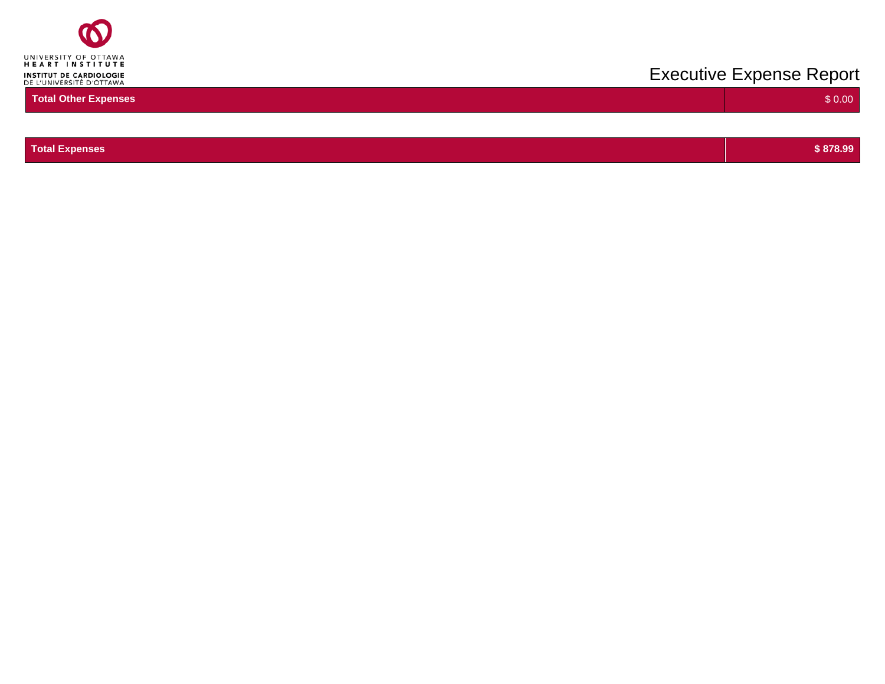

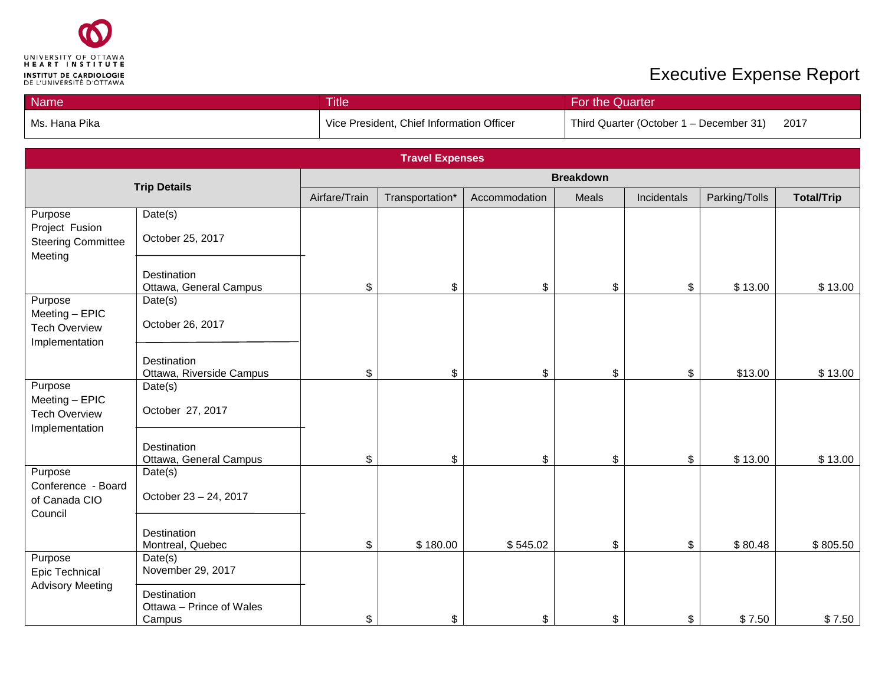

| <b>Name</b>     | <b>Title</b>                              | For the Quarter <sup>1</sup>                    |
|-----------------|-------------------------------------------|-------------------------------------------------|
| l Ms. Hana Pika | Vice President, Chief Information Officer | Third Quarter (October 1 – December 31)<br>2017 |

|                                                                     | <b>Travel Expenses</b>                            |               |                 |               |       |             |               |                   |
|---------------------------------------------------------------------|---------------------------------------------------|---------------|-----------------|---------------|-------|-------------|---------------|-------------------|
|                                                                     | <b>Breakdown</b><br><b>Trip Details</b>           |               |                 |               |       |             |               |                   |
|                                                                     |                                                   | Airfare/Train | Transportation* | Accommodation | Meals | Incidentals | Parking/Tolls | <b>Total/Trip</b> |
| Purpose<br>Project Fusion<br><b>Steering Committee</b><br>Meeting   | Date(s)<br>October 25, 2017                       |               |                 |               |       |             |               |                   |
|                                                                     | Destination<br>Ottawa, General Campus             | \$            | \$              | \$            | \$    | \$          | \$13.00       | \$13.00           |
| Purpose<br>Meeting - EPIC<br><b>Tech Overview</b><br>Implementation | Date(s)<br>October 26, 2017                       |               |                 |               |       |             |               |                   |
|                                                                     | Destination<br>Ottawa, Riverside Campus           | \$            | \$              | \$            | \$    | \$          | \$13.00       | \$13.00           |
| Purpose<br>Meeting - EPIC<br><b>Tech Overview</b><br>Implementation | Date(s)<br>October 27, 2017                       |               |                 |               |       |             |               |                   |
|                                                                     | Destination<br>Ottawa, General Campus             | \$            | \$              | \$            | \$    | \$          | \$13.00       | \$13.00           |
| Purpose<br>Conference - Board<br>of Canada CIO<br>Council           | Date(s)<br>October 23 - 24, 2017                  |               |                 |               |       |             |               |                   |
|                                                                     | Destination<br>Montreal, Quebec                   | \$            | \$180.00        | \$545.02      | \$    | \$          | \$80.48       | \$805.50          |
| Purpose<br>Epic Technical                                           | Date(s)<br>November 29, 2017                      |               |                 |               |       |             |               |                   |
| <b>Advisory Meeting</b>                                             | Destination<br>Ottawa - Prince of Wales<br>Campus | \$            | \$              | \$            | \$    | \$          | \$7.50        | \$7.50            |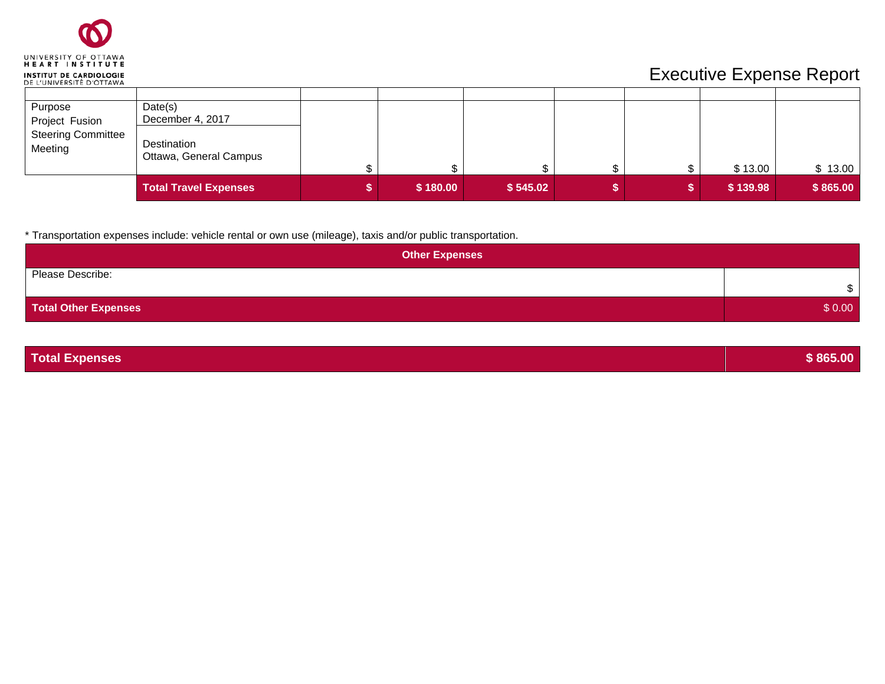| UNIVERSITY OF OTTAWA<br><b>HEART INSTITUTE</b>             |
|------------------------------------------------------------|
| <b>INSTITUT DE CARDIOLOGIE</b><br>DE L'UNIVERSITÉ D'OTTAWA |

| Purpose                              | Date(s)                               |          |          |  |          |          |
|--------------------------------------|---------------------------------------|----------|----------|--|----------|----------|
| Project Fusion                       | December 4, 2017                      |          |          |  |          |          |
| <b>Steering Committee</b><br>Meeting | Destination<br>Ottawa, General Campus |          |          |  | \$13.00  | \$13.00  |
|                                      | <b>Total Travel Expenses</b>          | \$180.00 | \$545.02 |  | \$139.98 | \$865.00 |

\* Transportation expenses include: vehicle rental or own use (mileage), taxis and/or public transportation.

| <b>Other Expenses</b>       |        |
|-----------------------------|--------|
| Please Describe:            | ₼      |
| <b>Total Other Expenses</b> | \$0.00 |

**Total Expenses \$ 865.00**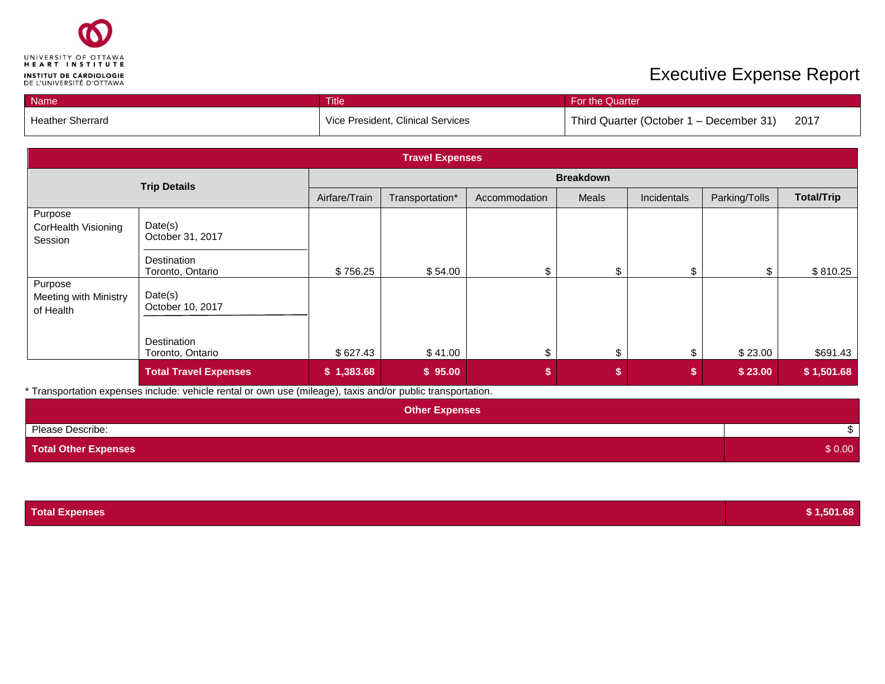

| Name                    | Title                             | <b>For the Quarter</b>                          |
|-------------------------|-----------------------------------|-------------------------------------------------|
| <b>Heather Sherrard</b> | Vice President, Clinical Services | Third Quarter (October 1 – December 31)<br>2017 |

| <b>Travel Expenses</b>                        |                                 |                  |                 |               |       |             |               |                   |  |
|-----------------------------------------------|---------------------------------|------------------|-----------------|---------------|-------|-------------|---------------|-------------------|--|
| <b>Trip Details</b>                           |                                 | <b>Breakdown</b> |                 |               |       |             |               |                   |  |
|                                               |                                 | Airfare/Train    | Transportation* | Accommodation | Meals | Incidentals | Parking/Tolls | <b>Total/Trip</b> |  |
| Purpose<br>CorHealth Visioning<br>Session     | Date(s)<br>October 31, 2017     |                  |                 |               |       |             |               |                   |  |
|                                               | Destination<br>Toronto, Ontario | \$756.25         | \$54.00         | \$.           |       | \$          |               | \$810.25          |  |
| Purpose<br>Meeting with Ministry<br>of Health | Date(s)<br>October 10, 2017     |                  |                 |               |       |             |               |                   |  |
|                                               | Destination<br>Toronto, Ontario | \$627.43         | \$41.00         | ፍ             |       | \$.         | \$23.00       | \$691.43          |  |
|                                               | <b>Total Travel Expenses</b>    | \$1,383.68       | \$95.00         | \$            |       | \$          | \$23.00       | \$1,501.68        |  |

\* Transportation expenses include: vehicle rental or own use (mileage), taxis and/or public transportation.

| <b>Other Expenses</b>       |        |
|-----------------------------|--------|
| Please Describe:            |        |
| <b>Total Other Expenses</b> | \$0.00 |

| <b>Total Expenses</b> | \$1,501.68 |
|-----------------------|------------|
|-----------------------|------------|